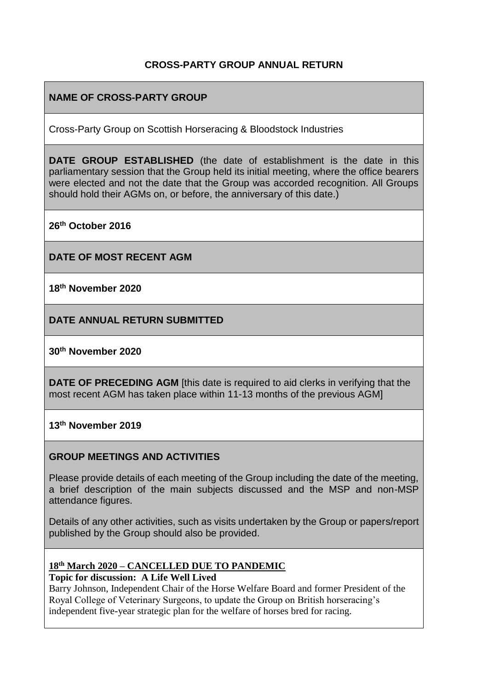### **CROSS-PARTY GROUP ANNUAL RETURN**

# **NAME OF CROSS-PARTY GROUP**

Cross-Party Group on Scottish Horseracing & Bloodstock Industries

**DATE GROUP ESTABLISHED** (the date of establishment is the date in this parliamentary session that the Group held its initial meeting, where the office bearers were elected and not the date that the Group was accorded recognition. All Groups should hold their AGMs on, or before, the anniversary of this date.)

**26th October 2016**

**DATE OF MOST RECENT AGM**

**18th November 2020**

**DATE ANNUAL RETURN SUBMITTED**

#### **30th November 2020**

**DATE OF PRECEDING AGM** [this date is required to aid clerks in verifying that the most recent AGM has taken place within 11-13 months of the previous AGM]

**13th November 2019**

#### **GROUP MEETINGS AND ACTIVITIES**

Please provide details of each meeting of the Group including the date of the meeting, a brief description of the main subjects discussed and the MSP and non-MSP attendance figures.

Details of any other activities, such as visits undertaken by the Group or papers/report published by the Group should also be provided.

### **18th March 2020 – CANCELLED DUE TO PANDEMIC**

**Topic for discussion: A Life Well Lived**

Barry Johnson, Independent Chair of the Horse Welfare Board and former President of the Royal College of Veterinary Surgeons, to update the Group on British horseracing's independent five-year strategic plan for the welfare of horses bred for racing.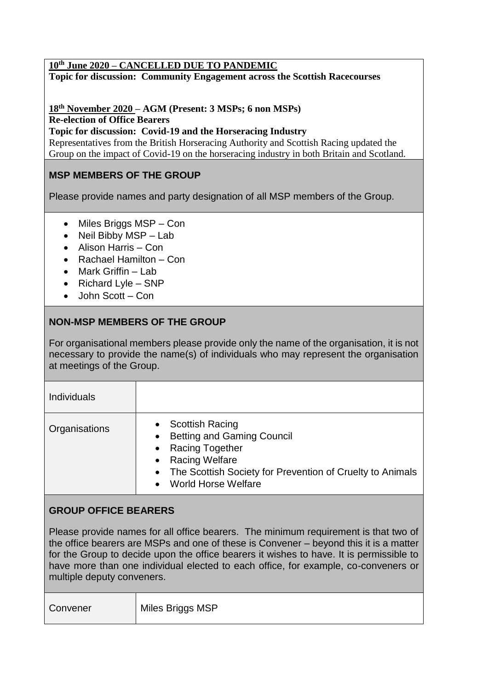#### **10th June 2020 – CANCELLED DUE TO PANDEMIC**

**Topic for discussion: Community Engagement across the Scottish Racecourses** 

**18th November 2020 – AGM (Present: 3 MSPs; 6 non MSPs) Re-election of Office Bearers**

**Topic for discussion: Covid-19 and the Horseracing Industry** 

Representatives from the British Horseracing Authority and Scottish Racing updated the Group on the impact of Covid-19 on the horseracing industry in both Britain and Scotland.

## **MSP MEMBERS OF THE GROUP**

Please provide names and party designation of all MSP members of the Group.

- Miles Briggs MSP Con
- Neil Bibby MSP Lab
- Alison Harris Con
- Rachael Hamilton Con
- Mark Griffin Lab
- Richard Lyle SNP
- John Scott Con

## **NON-MSP MEMBERS OF THE GROUP**

For organisational members please provide only the name of the organisation, it is not necessary to provide the name(s) of individuals who may represent the organisation at meetings of the Group.

| Individuals   |                                                                                                                                                                                                                                                                              |
|---------------|------------------------------------------------------------------------------------------------------------------------------------------------------------------------------------------------------------------------------------------------------------------------------|
| Organisations | <b>Scottish Racing</b><br>$\bullet$<br><b>Betting and Gaming Council</b><br>$\bullet$<br><b>Racing Together</b><br>$\bullet$<br><b>Racing Welfare</b><br>$\bullet$<br>• The Scottish Society for Prevention of Cruelty to Animals<br><b>World Horse Welfare</b><br>$\bullet$ |

### **GROUP OFFICE BEARERS**

Please provide names for all office bearers. The minimum requirement is that two of the office bearers are MSPs and one of these is Convener – beyond this it is a matter for the Group to decide upon the office bearers it wishes to have. It is permissible to have more than one individual elected to each office, for example, co-conveners or multiple deputy conveners.

| Miles Briggs MSP<br>Convener |
|------------------------------|
|------------------------------|